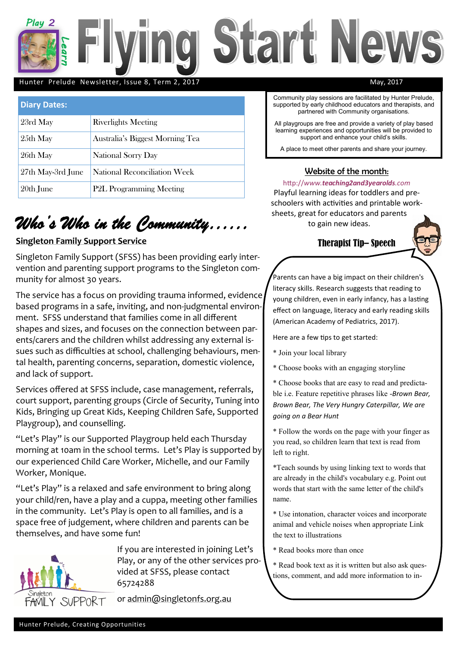

#### Hunter Prelude Newsletter, Issue 8, Term 2, 2017 May, 2017

| <b>Diary Dates:</b> |                                 |
|---------------------|---------------------------------|
| 23rd May            | <b>Riverlights Meeting</b>      |
| 25th May            | Australia's Biggest Morning Tea |
| 26th May            | National Sorry Day              |
| 27th May-3rd June   | National Reconciliation Week    |
| 20th June           | <b>P2L Programming Meeting</b>  |

# *Who's Who in the Community……*

### **Singleton Family Support Service**

Singleton Family Support (SFSS) has been providing early intervention and parenting support programs to the Singleton community for almost 30 years.

The service has a focus on providing trauma informed, evidence based programs in a safe, inviting, and non-judgmental environment. SFSS understand that families come in all different shapes and sizes, and focuses on the connection between parents/carers and the children whilst addressing any external issues such as difficulties at school, challenging behaviours, mental health, parenting concerns, separation, domestic violence, and lack of support.

Services offered at SFSS include, case management, referrals, court support, parenting groups (Circle of Security, Tuning into Kids, Bringing up Great Kids, Keeping Children Safe, Supported Playgroup), and counselling.

"Let's Play" is our Supported Playgroup held each Thursday morning at 10am in the school terms. Let's Play is supported by our experienced Child Care Worker, Michelle, and our Family Worker, Monique.

"Let's Play" is a relaxed and safe environment to bring along your child/ren, have a play and a cuppa, meeting other families in the community. Let's Play is open to all families, and is a space free of judgement, where children and parents can be themselves, and have some fun!



If you are interested in joining Let's Play, or any of the other services provided at SFSS, please contact 65724288

or [admin@singletonfs.org.au](mailto:admin@singletonfs.org.au)

Community play sessions are facilitated by Hunter Prelude, supported by early childhood educators and therapists, and partnered with Community organisations.

All playgroups are free and provide a variety of play based learning experiences and opportunities will be provided to support and enhance your child's skills.

A place to meet other parents and share your journey.

#### Website of the month:

http://*www.teaching2and3yearolds.com* Playful learning ideas for toddlers and preschoolers with activities and printable worksheets, great for educators and parents to gain new ideas.

### Therapist Tip– Speech

Parents can have a big impact on their children's literacy skills. Research suggests that reading to young children, even in early infancy, has a lasting effect on language, literacy and early reading skills (American Academy of Pediatrics, 2017).

Here are a few tips to get started:

- \* Join your local library
- \* Choose books with an engaging storyline

\* Choose books that are easy to read and predictable i.e. Feature repetitive phrases like -*Brown Bear, Brown Bear, The Very Hungry Caterpillar, We are going on a Bear Hunt*

\* Follow the words on the page with your finger as you read, so children learn that text is read from left to right.

\*Teach sounds by using linking text to words that are already in the child's vocabulary e.g. Point out words that start with the same letter of the child's name.

\* Use intonation, character voices and incorporate animal and vehicle noises when appropriate Link the text to illustrations

\* Read books more than once

\* Read book text as it is written but also ask questions, comment, and add more information to in-